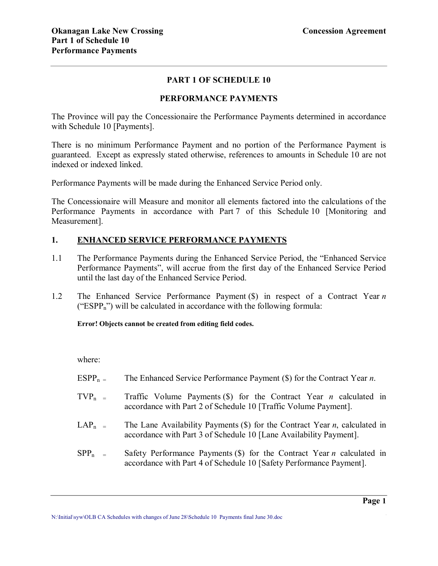## **PART 1 OF SCHEDULE 10**

### **PERFORMANCE PAYMENTS**

The Province will pay the Concessionaire the Performance Payments determined in accordance with Schedule 10 [Payments].

There is no minimum Performance Payment and no portion of the Performance Payment is guaranteed. Except as expressly stated otherwise, references to amounts in Schedule 10 are not indexed or indexed linked.

Performance Payments will be made during the Enhanced Service Period only.

The Concessionaire will Measure and monitor all elements factored into the calculations of the Performance Payments in accordance with Part 7 of this Schedule 10 [Monitoring and Measurement].

### **1. ENHANCED SERVICE PERFORMANCE PAYMENTS**

- 1.1 The Performance Payments during the Enhanced Service Period, the "Enhanced Service Performance Payments", will accrue from the first day of the Enhanced Service Period until the last day of the Enhanced Service Period.
- 1.2 The Enhanced Service Performance Payment (\$) in respect of a Contract Year *n* ("ESPP<sub>n</sub>") will be calculated in accordance with the following formula:

### **Error! Objects cannot be created from editing field codes.**

where:

- ESPP<sub>n</sub> = The Enhanced Service Performance Payment (\$) for the Contract Year *n*.
- $TVP_n$  = Traffic Volume Payments (\$) for the Contract Year *n* calculated in accordance with Part 2 of Schedule 10 [Traffic Volume Payment].
- LAP<sub>n =</sub> The Lane Availability Payments (\$) for the Contract Year *n*, calculated in accordance with Part 3 of Schedule 10 [Lane Availability Payment].
- $SPP_n$  = Safety Performance Payments (\$) for the Contract Year *n* calculated in accordance with Part 4 of Schedule 10 [Safety Performance Payment].

**\_\_\_\_\_\_\_\_\_\_\_\_\_\_\_\_\_\_\_\_\_\_\_\_\_\_\_\_\_\_\_\_\_\_\_\_\_\_\_\_\_\_\_\_\_\_\_\_\_\_\_\_\_\_\_\_\_\_\_\_\_\_\_\_\_\_\_\_\_\_\_\_\_\_\_\_\_\_ Page 1** N:\Initial\syw\OLB CA Schedules with changes of June 28\Schedule 10 Payments final June 30.doc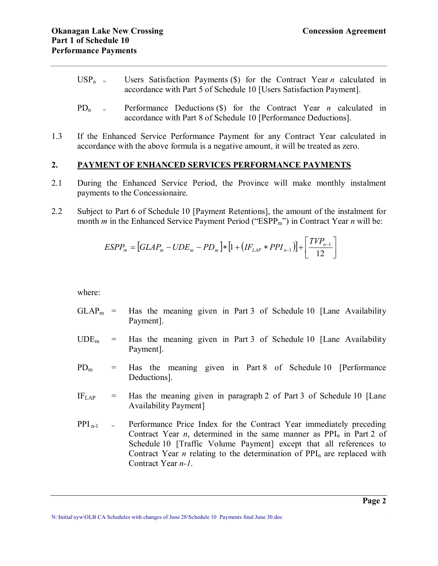- $USP_n$  = Users Satisfaction Payments (\$) for the Contract Year *n* calculated in accordance with Part 5 of Schedule 10 [Users Satisfaction Payment].
- $PD_n$  = Performance Deductions (\$) for the Contract Year *n* calculated in accordance with Part 8 of Schedule 10 [Performance Deductions].
- 1.3 If the Enhanced Service Performance Payment for any Contract Year calculated in accordance with the above formula is a negative amount, it will be treated as zero.

## **2. PAYMENT OF ENHANCED SERVICES PERFORMANCE PAYMENTS**

- 2.1 During the Enhanced Service Period, the Province will make monthly instalment payments to the Concessionaire.
- 2.2 Subject to Part 6 of Schedule 10 [Payment Retentions], the amount of the instalment for month *m* in the Enhanced Service Payment Period ("ESPP<sub>m</sub>") in Contract Year *n* will be:

$$
ESPP_m = [GLAP_m - UDE_m - PD_m] * [1 + (IF_{LAP} * PPI_{n-1})] + \left[\frac{TVP_{n-1}}{12}\right]
$$

where:

- $GLAP<sub>m</sub>$  = Has the meaning given in Part 3 of Schedule 10 [Lane Availability Payment].
- $UDE<sub>m</sub>$  = Has the meaning given in Part 3 of Schedule 10 [Lane Availability Payment].
- $PD_m$  = Has the meaning given in Part 8 of Schedule 10 [Performance Deductions].
- $IF<sub>LAP</sub>$  = Has the meaning given in paragraph 2 of Part 3 of Schedule 10 [Lane Availability Payment]
- $PPI_{n-1}$  = Performance Price Index for the Contract Year immediately preceding Contract Year  $n$ , determined in the same manner as  $PPI_n$  in Part 2 of Schedule 10 [Traffic Volume Payment] except that all references to Contract Year *n* relating to the determination of  $PPI_n$  are replaced with Contract Year *n*-1.

**\_\_\_\_\_\_\_\_\_\_\_\_\_\_\_\_\_\_\_\_\_\_\_\_\_\_\_\_\_\_\_\_\_\_\_\_\_\_\_\_\_\_\_\_\_\_\_\_\_\_\_\_\_\_\_\_\_\_\_\_\_\_\_\_\_\_\_\_\_\_\_\_\_\_\_\_\_\_ Page 2** N:\Initial\syw\OLB CA Schedules with changes of June 28\Schedule 10 Payments final June 30.doc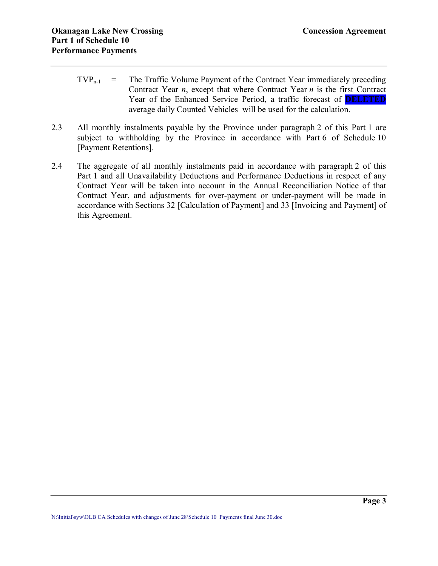- $TVP_{n-1}$  = The Traffic Volume Payment of the Contract Year immediately preceding Contract Year *n*, except that where Contract Year *n* is the first Contract Year of the Enhanced Service Period, a traffic forecast of **DELETED** average daily Counted Vehicles will be used for the calculation.
- 2.3 All monthly instalments payable by the Province under paragraph 2 of this Part 1 are subject to withholding by the Province in accordance with Part 6 of Schedule 10 [Payment Retentions].
- 2.4 The aggregate of all monthly instalments paid in accordance with paragraph 2 of this Part 1 and all Unavailability Deductions and Performance Deductions in respect of any Contract Year will be taken into account in the Annual Reconciliation Notice of that Contract Year, and adjustments for over-payment or under-payment will be made in accordance with Sections 32 [Calculation of Payment] and 33 [Invoicing and Payment] of this Agreement.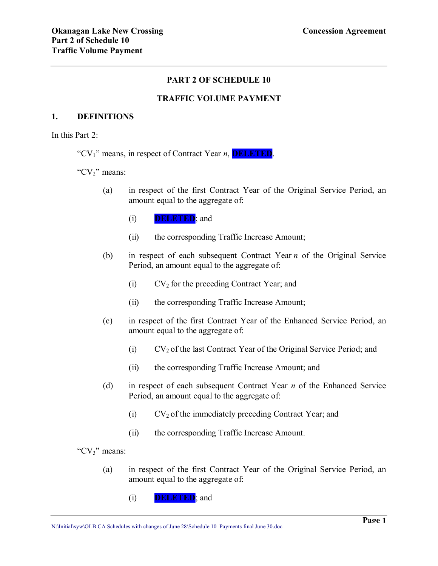## **PART 2 OF SCHEDULE 10**

## **TRAFFIC VOLUME PAYMENT**

### **1. DEFINITIONS**

In this Part  $2$ :

"CV1" means, in respect of Contract Year *n*, **DELETED**.

" $CV<sub>2</sub>$ " means:

- (a) in respect of the first Contract Year of the Original Service Period, an amount equal to the aggregate of:
	- (i) **DELETED**; and
	- (ii) the corresponding Traffic Increase Amount;
- (b) in respect of each subsequent Contract Year *n* of the Original Service Period, an amount equal to the aggregate of:
	- (i)  $CV_2$  for the preceding Contract Year; and
	- (ii) the corresponding Traffic Increase Amount;
- (c) in respect of the first Contract Year of the Enhanced Service Period, an amount equal to the aggregate of:
	- (i)  $CV_2$  of the last Contract Year of the Original Service Period; and
	- (ii) the corresponding Traffic Increase Amount; and
- (d) in respect of each subsequent Contract Year *n* of the Enhanced Service Period, an amount equal to the aggregate of:
	- (i)  $CV_2$  of the immediately preceding Contract Year; and
	- (ii) the corresponding Traffic Increase Amount.

"CV<sub>3</sub>" means:

- (a) in respect of the first Contract Year of the Original Service Period, an amount equal to the aggregate of:
	- (i) **DELETED**; and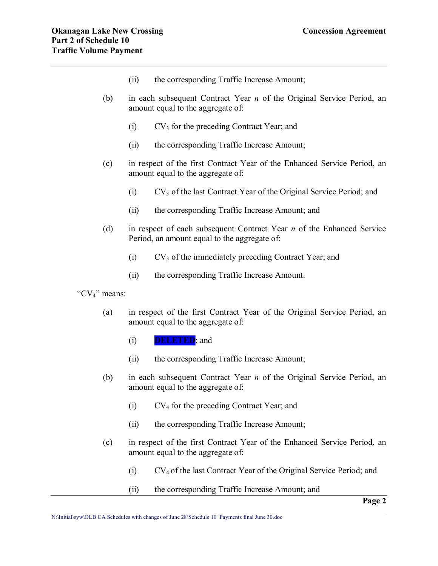- (ii) the corresponding Traffic Increase Amount;
- (b) in each subsequent Contract Year *n* of the Original Service Period, an amount equal to the aggregate of:
	- $(V<sub>3</sub>$  for the preceding Contract Year; and
	- (ii) the corresponding Traffic Increase Amount;
- (c) in respect of the first Contract Year of the Enhanced Service Period, an amount equal to the aggregate of:
	- (i) CV<sup>3</sup> of the last Contract Year of the Original Service Period; and
	- (ii) the corresponding Traffic Increase Amount; and
- (d) in respect of each subsequent Contract Year *n* of the Enhanced Service Period, an amount equal to the aggregate of:
	- (i)  $CV_3$  of the immediately preceding Contract Year; and
	- (ii) the corresponding Traffic Increase Amount.

"CV4" means:

- (a) in respect of the first Contract Year of the Original Service Period, an amount equal to the aggregate of:
	- (i) **DELETED**; and
	- (ii) the corresponding Traffic Increase Amount;
- (b) in each subsequent Contract Year *n* of the Original Service Period, an amount equal to the aggregate of:
	- (i) CV<sup>4</sup> for the preceding Contract Year; and
	- (ii) the corresponding Traffic Increase Amount;
- (c) in respect of the first Contract Year of the Enhanced Service Period, an amount equal to the aggregate of:
	- (i) CV<sup>4</sup> of the last Contract Year of the Original Service Period; and
	- (ii) the corresponding Traffic Increase Amount; and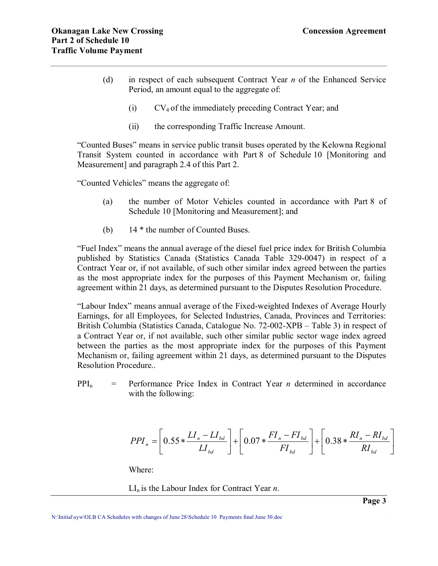- (d) in respect of each subsequent Contract Year *n* of the Enhanced Service Period, an amount equal to the aggregate of:
	- $(V_4$  of the immediately preceding Contract Year; and
	- (ii) the corresponding Traffic Increase Amount.

"Counted Buses" means in service public transit buses operated by the Kelowna Regional Transit System counted in accordance with Part 8 of Schedule 10 [Monitoring and Measurement] and paragraph 2.4 of this Part 2.

"Counted Vehicles" means the aggregate of:

- (a) the number of Motor Vehicles counted in accordance with Part 8 of Schedule 10 [Monitoring and Measurement]; and
- (b) 14 \* the number of Counted Buses.

"Fuel Index" means the annual average of the diesel fuel price index for British Columbia published by Statistics Canada (Statistics Canada Table 329-0047) in respect of a Contract Year or, if not available, of such other similar index agreed between the parties as the most appropriate index for the purposes of this Payment Mechanism or, failing agreement within 21 days, as determined pursuant to the Disputes Resolution Procedure.

"Labour Index" means annual average of the Fixed-weighted Indexes of Average Hourly Earnings, for all Employees, for Selected Industries, Canada, Provinces and Territories: British Columbia (Statistics Canada, Catalogue No. 72-002-XPB – Table 3) in respect of a Contract Year or, if not available, such other similar public sector wage index agreed between the parties as the most appropriate index for the purposes of this Payment Mechanism or, failing agreement within 21 days, as determined pursuant to the Disputes Resolution Procedure..

 $PPI_n$  = Performance Price Index in Contract Year *n* determined in accordance with the following:

$$
PPI_{n} = \left[ 0.55 * \frac{LI_{n} - LI_{bd}}{LI_{bd}} \right] + \left[ 0.07 * \frac{FI_{n} - FI_{bd}}{FI_{bd}} \right] + \left[ 0.38 * \frac{RI_{n} - RI_{bd}}{RI_{bd}} \right]
$$

Where:

 $LI_n$  is the Labour Index for Contract Year *n*.

**Page 3**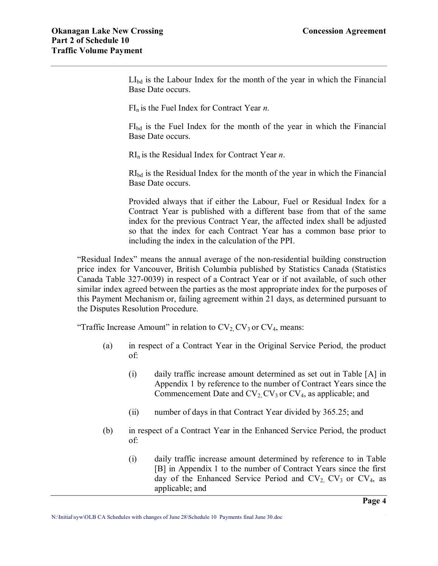$LI_{bd}$  is the Labour Index for the month of the year in which the Financial Base Date occurs.

FI<sup>n</sup> is the Fuel Index for Contract Year *n*.

FIbd is the Fuel Index for the month of the year in which the Financial Base Date occurs.

RI<sup>n</sup> is the Residual Index for Contract Year *n*.

RIbd is the Residual Index for the month of the year in which the Financial Base Date occurs.

Provided always that if either the Labour, Fuel or Residual Index for a Contract Year is published with a different base from that of the same index for the previous Contract Year, the affected index shall be adjusted so that the index for each Contract Year has a common base prior to including the index in the calculation of the PPI.

"Residual Index" means the annual average of the non-residential building construction price index for Vancouver, British Columbia published by Statistics Canada (Statistics Canada Table 327-0039) in respect of a Contract Year or if not available, of such other similar index agreed between the parties as the most appropriate index for the purposes of this Payment Mechanism or, failing agreement within 21 days, as determined pursuant to the Disputes Resolution Procedure.

"Traffic Increase Amount" in relation to  $CV_2$ ,  $CV_3$  or  $CV_4$ , means:

- (a) in respect of a Contract Year in the Original Service Period, the product of:
	- (i) daily traffic increase amount determined as set out in Table [A] in Appendix 1 by reference to the number of Contract Years since the Commencement Date and  $CV_2$  CV<sub>3</sub> or CV<sub>4</sub>, as applicable; and
	- (ii) number of days in that Contract Year divided by 365.25; and
- (b) in respect of a Contract Year in the Enhanced Service Period, the product of:
	- (i) daily traffic increase amount determined by reference to in Table [B] in Appendix 1 to the number of Contract Years since the first day of the Enhanced Service Period and  $CV_2$ ,  $CV_3$  or  $CV_4$ , as applicable; and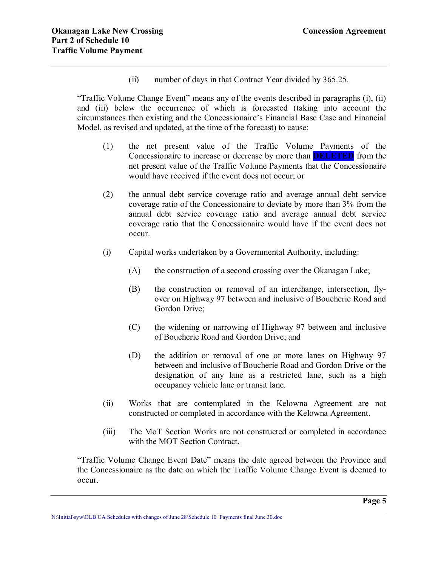(ii) number of days in that Contract Year divided by 365.25.

"Traffic Volume Change Event" means any of the events described in paragraphs (i), (ii) and (iii) below the occurrence of which is forecasted (taking into account the circumstances then existing and the Concessionaire's Financial Base Case and Financial Model, as revised and updated, at the time of the forecast) to cause:

- (1) the net present value of the Traffic Volume Payments of the Concessionaire to increase or decrease by more than **DELETED** from the net present value of the Traffic Volume Payments that the Concessionaire would have received if the event does not occur; or
- (2) the annual debt service coverage ratio and average annual debt service coverage ratio of the Concessionaire to deviate by more than 3% from the annual debt service coverage ratio and average annual debt service coverage ratio that the Concessionaire would have if the event does not occur.
- (i) Capital works undertaken by a Governmental Authority, including:
	- (A) the construction of a second crossing over the Okanagan Lake;
	- (B) the construction or removal of an interchange, intersection, fly over on Highway 97 between and inclusive of Boucherie Road and Gordon Drive;
	- (C) the widening or narrowing of Highway 97 between and inclusive of Boucherie Road and Gordon Drive; and
	- (D) the addition or removal of one or more lanes on Highway 97 between and inclusive of Boucherie Road and Gordon Drive or the designation of any lane as a restricted lane, such as a high occupancy vehicle lane or transit lane.
- (ii) Works that are contemplated in the Kelowna Agreement are not constructed or completed in accordance with the Kelowna Agreement.
- (iii) The MoT Section Works are not constructed or completed in accordance with the MOT Section Contract.

"Traffic Volume Change Event Date" means the date agreed between the Province and the Concessionaire as the date on which the Traffic Volume Change Event is deemed to occur.

**\_\_\_\_\_\_\_\_\_\_\_\_\_\_\_\_\_\_\_\_\_\_\_\_\_\_\_\_\_\_\_\_\_\_\_\_\_\_\_\_\_\_\_\_\_\_\_\_\_\_\_\_\_\_\_\_\_\_\_\_\_\_\_\_\_\_\_\_\_\_\_\_\_\_\_\_\_\_ Page 5** N:\Initial\syw\OLB CA Schedules with changes of June 28\Schedule 10 Payments final June 30.doc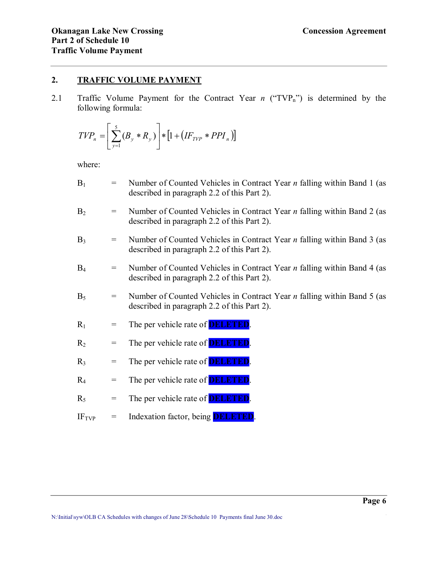## **2. TRAFFIC VOLUME PAYMENT**

2.1 Traffic Volume Payment for the Contract Year *n* ("TVP<sub>n</sub>") is determined by the following formula:

$$
TVP_n = \left[\sum_{y=1}^{5} (B_y * R_y)\right] * \left[1 + \left(IF_{TVP} * PPI_n\right)\right]
$$

where:

| $B_1$          | $\qquad \qquad =$                   | Number of Counted Vehicles in Contract Year $n$ falling within Band 1 (as<br>described in paragraph 2.2 of this Part 2).      |
|----------------|-------------------------------------|-------------------------------------------------------------------------------------------------------------------------------|
| B <sub>2</sub> | $=$                                 | Number of Counted Vehicles in Contract Year $n$ falling within Band 2 (as<br>described in paragraph 2.2 of this Part 2).      |
| $B_3$          | $\hspace*{0.4em} = \hspace*{0.4em}$ | Number of Counted Vehicles in Contract Year $n$ falling within Band 3 (as<br>described in paragraph 2.2 of this Part 2).      |
| B <sub>4</sub> | $\qquad \qquad =$                   | Number of Counted Vehicles in Contract Year <i>n</i> falling within Band 4 (as<br>described in paragraph 2.2 of this Part 2). |
| $B_5$          | $\hspace*{0.4em} = \hspace*{0.4em}$ | Number of Counted Vehicles in Contract Year $n$ falling within Band 5 (as<br>described in paragraph 2.2 of this Part 2).      |
| $R_1$          | $=$                                 | The per vehicle rate of <b>DELETED</b> .                                                                                      |
| $R_2$          | $=$                                 | The per vehicle rate of <b>DELETED</b> .                                                                                      |
| $R_3$          | $=$                                 | The per vehicle rate of <b>DELETED</b> .                                                                                      |
| $R_4$          | $=$                                 | The per vehicle rate of <b>DELETED</b>                                                                                        |
| $R_5$          | $=$                                 | The per vehicle rate of <b>DELETED</b> .                                                                                      |
| $IF_{TVP}$     | $=$                                 | Indexation factor, being <b>DELETED</b>                                                                                       |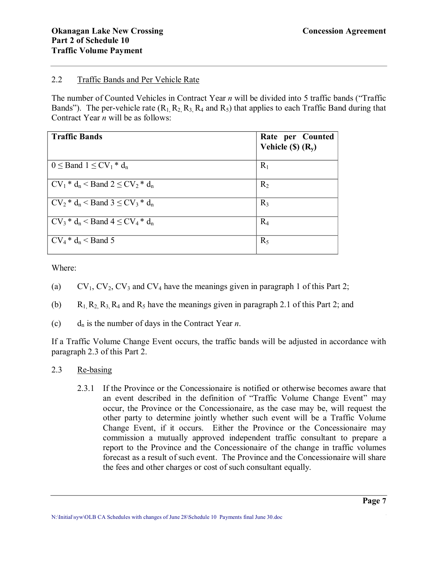## 2.2 Traffic Bands and Per Vehicle Rate

The number of Counted Vehicles in Contract Year *n* will be divided into 5 traffic bands ("Traffic Bands"). The per-vehicle rate  $(R_1, R_2, R_3, R_4$  and  $R_5$ ) that applies to each Traffic Band during that Contract Year *n* will be as follows:

| <b>Traffic Bands</b>                                                                      | Rate per Counted<br>Vehicle $(S)$ $(R_y)$ |
|-------------------------------------------------------------------------------------------|-------------------------------------------|
| $0 \leq$ Band $1 \leq CV_1 * d_n$                                                         | $R_1$                                     |
| $\vert$ CV <sub>1</sub> * d <sub>n</sub> < Band 2 $\leq$ CV <sub>2</sub> * d <sub>n</sub> | $R_2$                                     |
| $CV_2 * d_n$ < Band 3 $\leq CV_3 * d_n$                                                   | $R_3$                                     |
| $\vert$ CV <sub>3</sub> * $d_n$ < Band 4 $\leq$ CV <sub>4</sub> * $d_n$                   | $R_4$                                     |
| $\vert$ CV <sub>4</sub> $*$ d <sub>n</sub> < Band 5                                       | $R_5$                                     |

Where:

- (a)  $CV_1, CV_2, CV_3$  and  $CV_4$  have the meanings given in paragraph 1 of this Part 2;
- (b)  $R_1, R_2, R_3, R_4$  and  $R_5$  have the meanings given in paragraph 2.1 of this Part 2; and
- (c)  $d_n$  is the number of days in the Contract Year *n*.

If a Traffic Volume Change Event occurs, the traffic bands will be adjusted in accordance with paragraph 2.3 of this Part 2.

- 2.3 Re-basing
	- 2.3.1 If the Province or the Concessionaire is notified or otherwise becomes aware that an event described in the definition of "Traffic Volume Change Event" may occur, the Province or the Concessionaire, as the case may be, will request the other party to determine jointly whether such event will be a Traffic Volume Change Event, if it occurs. Either the Province or the Concessionaire may commission a mutually approved independent traffic consultant to prepare a report to the Province and the Concessionaire of the change in traffic volumes forecast as a result of such event. The Province and the Concessionaire will share the fees and other charges or cost of such consultant equally.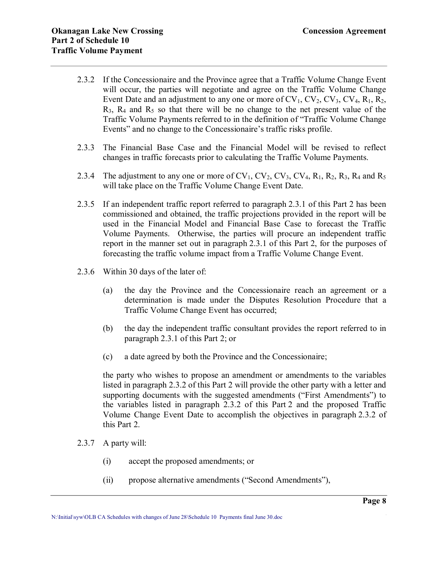- 2.3.2 If the Concessionaire and the Province agree that a Traffic Volume Change Event will occur, the parties will negotiate and agree on the Traffic Volume Change Event Date and an adjustment to any one or more of  $CV_1$ ,  $CV_2$ ,  $CV_3$ ,  $CV_4$ ,  $R_1$ ,  $R_2$ ,  $R_3$ ,  $R_4$  and  $R_5$  so that there will be no change to the net present value of the Traffic Volume Payments referred to in the definition of "Traffic Volume Change Events" and no change to the Concessionaire's traffic risks profile.
- 2.3.3 The Financial Base Case and the Financial Model will be revised to reflect changes in traffic forecasts prior to calculating the Traffic Volume Payments.
- 2.3.4 The adjustment to any one or more of  $CV_1$ ,  $CV_2$ ,  $CV_3$ ,  $CV_4$ ,  $R_1$ ,  $R_2$ ,  $R_3$ ,  $R_4$  and  $R_5$ will take place on the Traffic Volume Change Event Date.
- 2.3.5 If an independent traffic report referred to paragraph 2.3.1 of this Part 2 has been commissioned and obtained, the traffic projections provided in the report will be used in the Financial Model and Financial Base Case to forecast the Traffic Volume Payments. Otherwise, the parties will procure an independent traffic report in the manner set out in paragraph 2.3.1 of this Part 2, for the purposes of forecasting the traffic volume impact from a Traffic Volume Change Event.
- 2.3.6 Within 30 days of the later of:
	- (a) the day the Province and the Concessionaire reach an agreement or a determination is made under the Disputes Resolution Procedure that a Traffic Volume Change Event has occurred;
	- (b) the day the independent traffic consultant provides the report referred to in paragraph 2.3.1 of this Part 2; or
	- (c) a date agreed by both the Province and the Concessionaire;

the party who wishes to propose an amendment or amendments to the variables listed in paragraph 2.3.2 of this Part 2 will provide the other party with a letter and supporting documents with the suggested amendments ("First Amendments") to the variables listed in paragraph 2.3.2 of this Part 2 and the proposed Traffic Volume Change Event Date to accomplish the objectives in paragraph 2.3.2 of this Part 2.

- 2.3.7 A party will:
	- (i) accept the proposed amendments; or
	- (ii) propose alternative amendments ("Second Amendments"),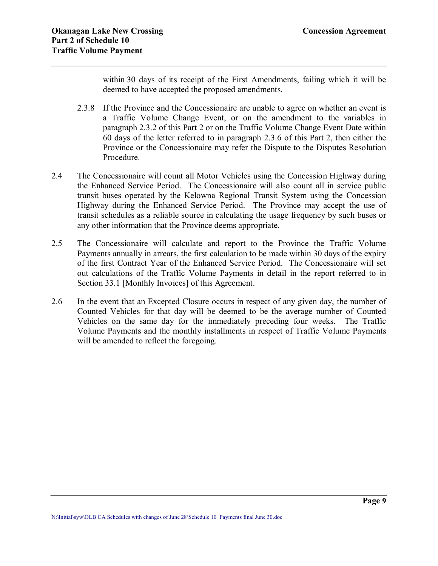within 30 days of its receipt of the First Amendments, failing which it will be deemed to have accepted the proposed amendments.

- 2.3.8 If the Province and the Concessionaire are unable to agree on whether an event is a Traffic Volume Change Event, or on the amendment to the variables in paragraph 2.3.2 of this Part 2 or on the Traffic Volume Change Event Date within 60 days of the letter referred to in paragraph 2.3.6 of this Part 2, then either the Province or the Concessionaire may refer the Dispute to the Disputes Resolution Procedure.
- 2.4 The Concessionaire will count all Motor Vehicles using the Concession Highway during the Enhanced Service Period. The Concessionaire will also count all in service public transit buses operated by the Kelowna Regional Transit System using the Concession Highway during the Enhanced Service Period. The Province may accept the use of transit schedules as a reliable source in calculating the usage frequency by such buses or any other information that the Province deems appropriate.
- 2.5 The Concessionaire will calculate and report to the Province the Traffic Volume Payments annually in arrears, the first calculation to be made within 30 days of the expiry of the first Contract Year of the Enhanced Service Period. The Concessionaire will set out calculations of the Traffic Volume Payments in detail in the report referred to in Section 33.1 [Monthly Invoices] of this Agreement.
- 2.6 In the event that an Excepted Closure occurs in respect of any given day, the number of Counted Vehicles for that day will be deemed to be the average number of Counted Vehicles on the same day for the immediately preceding four weeks. The Traffic Volume Payments and the monthly installments in respect of Traffic Volume Payments will be amended to reflect the foregoing.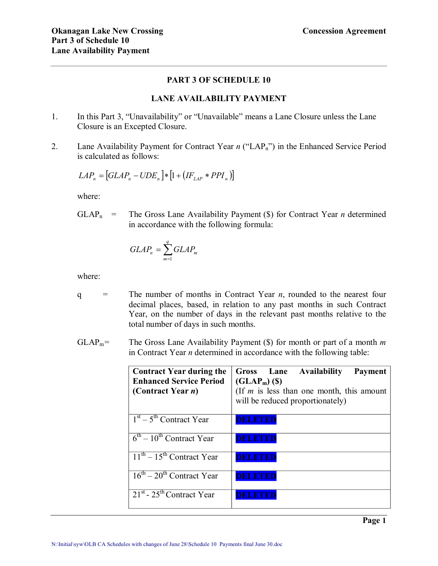## **PART 3 OF SCHEDULE 10**

## **LANE AVAILABILITY PAYMENT**

- 1. In this Part 3, "Unavailability" or "Unavailable" means a Lane Closure unless the Lane Closure is an Excepted Closure.
- 2. Lane Availability Payment for Contract Year *n* ("LAP<sub>n</sub>") in the Enhanced Service Period is calculated as follows:

$$
LAP_n = [GLAP_n - UDE_n] * [1 + (IF_{LAP} * PPI_n)]
$$

where:

 $GLAP_n$  = The Gross Lane Availability Payment (\$) for Contract Year *n* determined in accordance with the following formula:

$$
GLAP_n = \sum_{m=1}^{q} GLAP_m
$$

where:

- q = The number of months in Contract Year *n*, rounded to the nearest four decimal places, based, in relation to any past months in such Contract Year, on the number of days in the relevant past months relative to the total number of days in such months.
- $GLAP<sub>m</sub>=$  The Gross Lane Availability Payment (\$) for month or part of a month *m* in Contract Year *n* determined in accordance with the following table:

| <b>Contract Year during the</b><br><b>Enhanced Service Period</b><br>(Contract Year <i>n</i> ) | Gross Lane Availability<br>Payment<br>$(GLAP_m)$ (\$)<br>(If $m$ is less than one month, this amount<br>will be reduced proportionately) |
|------------------------------------------------------------------------------------------------|------------------------------------------------------------------------------------------------------------------------------------------|
| $\overline{1^{st}}$ – 5 <sup>th</sup> Contract Year                                            | DELETED                                                                                                                                  |
| $6^{\text{th}} - 10^{\text{th}}$ Contract Year                                                 | DELETEL                                                                                                                                  |
| $11th - 15th$ Contract Year                                                                    | DELETEL                                                                                                                                  |
| $16^{\text{th}} - 20^{\text{th}}$ Contract Year                                                | ELETEI                                                                                                                                   |
| $21st$ - $25th$ Contract Year                                                                  |                                                                                                                                          |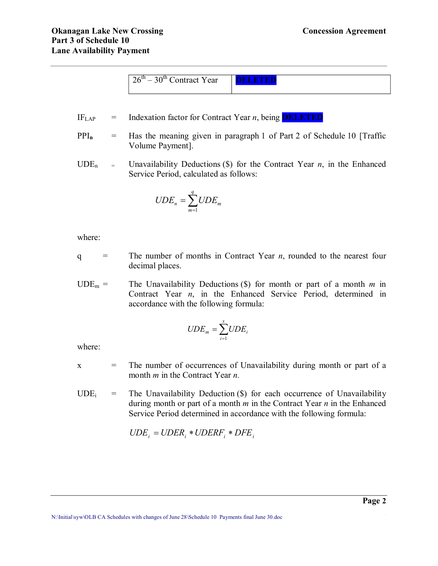| $-30th$ Contract Year<br>າ $6^{\mathrm{m}}$ – | . |
|-----------------------------------------------|---|
|                                               |   |
|                                               |   |
|                                               |   |

- IFLAP = Indexation factor for Contract Year *n*, being **DELETED**
- PPI<sub>n</sub> = Has the meaning given in paragraph 1 of Part 2 of Schedule 10 [Traffic Volume Payment].
- UDE<sub>n</sub> = Unavailability Deductions (\$) for the Contract Year *n*, in the Enhanced Service Period, calculated as follows:

$$
UDE_n = \sum_{m=1}^{q} UDE_m
$$

where:

- $q =$  The number of months in Contract Year *n*, rounded to the nearest four decimal places.
- $UDE_m =$  The Unavailability Deductions (\$) for month or part of a month *m* in Contract Year *n*, in the Enhanced Service Period, determined in accordance with the following formula:

$$
UDE_m = \sum_{i=1}^{x} UDE_i
$$

where:

 $x =$  The number of occurrences of Unavailability during month or part of a month *m* in the Contract Year *n.*

 $UDE_i$  = The Unavailability Deduction (\$) for each occurrence of Unavailability during month or part of a month *m* in the Contract Year *n* in the Enhanced Service Period determined in accordance with the following formula:

$$
UDE_i = UDER_i * UDERF_i * DFE_i
$$

**\_\_\_\_\_\_\_\_\_\_\_\_\_\_\_\_\_\_\_\_\_\_\_\_\_\_\_\_\_\_\_\_\_\_\_\_\_\_\_\_\_\_\_\_\_\_\_\_\_\_\_\_\_\_\_\_\_\_\_\_\_\_\_\_\_\_\_\_\_\_\_\_\_\_\_\_\_\_ Page 2** N:\Initial\syw\OLB CA Schedules with changes of June 28\Schedule 10 Payments final June 30.doc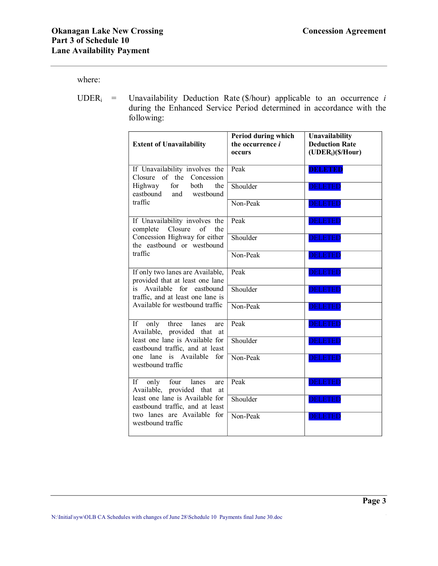where:

UDER<sub>i</sub> = Unavailability Deduction Rate ( $\frac{\delta}{\delta}$  applicable to an occurrence *i* during the Enhanced Service Period determined in accordance with the following:

| <b>Extent of Unavailability</b>                                     | Period during which<br>the occurrence <i>i</i><br>occurs | Unavailability<br><b>Deduction Rate</b><br>$(UDERi)(\frac{S}{Hour})$ |
|---------------------------------------------------------------------|----------------------------------------------------------|----------------------------------------------------------------------|
| If Unavailability involves the<br>Closure of the Concession         | Peak                                                     | <b>DELETED</b>                                                       |
| for<br>Highway<br>both<br>the<br>eastbound and westbound            | Shoulder                                                 | <b>DELETED</b>                                                       |
| traffic                                                             | Non-Peak                                                 | <b>DELETED</b>                                                       |
| If Unavailability involves the<br>Closure<br>complete<br>of<br>the  | Peak                                                     | <b>DELETED</b>                                                       |
| Concession Highway for either<br>the eastbound or westbound         | Shoulder                                                 | <b>DELETED</b>                                                       |
| traffic                                                             | Non-Peak                                                 | <b>DELETED</b>                                                       |
| If only two lanes are Available,<br>provided that at least one lane | Peak                                                     | <b>DELETED</b>                                                       |
| is Available for eastbound<br>traffic, and at least one lane is     | Shoulder                                                 | <b>DELETED</b>                                                       |
| Available for westbound traffic                                     | Non-Peak                                                 | <b>DELETED</b>                                                       |
| If -<br>only three lanes<br>are<br>Available, provided that<br>at   | Peak                                                     | <b>DELETED</b>                                                       |
| least one lane is Available for<br>eastbound traffic, and at least  | Shoulder                                                 | <b>DELETED</b>                                                       |
| one lane is Available for<br>westbound traffic                      | Non-Peak                                                 | <b>DELETED</b>                                                       |
| only four lanes<br>If F<br>are<br>Available, provided that at       | Peak                                                     | <b>DELETED</b>                                                       |
| least one lane is Available for<br>eastbound traffic, and at least  | Shoulder                                                 | <b>DELETED</b>                                                       |
| two lanes are Available for<br>westbound traffic                    | Non-Peak                                                 | DELETE                                                               |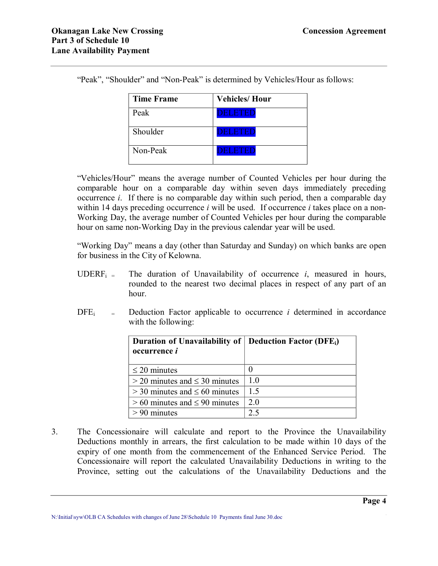| <b>Time Frame</b> | <b>Vehicles/Hour</b> |
|-------------------|----------------------|
| Peak              | ELETEL               |
| Shoulder          | DELETED              |
| Non-Peak          |                      |

"Peak", "Shoulder" and "Non-Peak" is determined by Vehicles/Hour as follows:

"Vehicles/Hour" means the average number of Counted Vehicles per hour during the comparable hour on a comparable day within seven days immediately preceding occurrence *i*. If there is no comparable day within such period, then a comparable day within 14 days preceding occurrence *i* will be used. If occurrence *i* takes place on a non-Working Day, the average number of Counted Vehicles per hour during the comparable hour on same non-Working Day in the previous calendar year will be used.

"Working Day" means a day (other than Saturday and Sunday) on which banks are open for business in the City of Kelowna.

- UDERF<sub>i</sub> = The duration of Unavailability of occurrence *i*, measured in hours, rounded to the nearest two decimal places in respect of any part of an hour.
- $DFE_i$  = Deduction Factor applicable to occurrence *i* determined in accordance with the following:

| Duration of Unavailability of   Deduction Factor (DFE <sub>i</sub> )<br>occurrence <i>i</i> |     |
|---------------------------------------------------------------------------------------------|-----|
| $\leq$ 20 minutes                                                                           |     |
| $>$ 20 minutes and $\leq$ 30 minutes                                                        | 10  |
| $>$ 30 minutes and $\leq$ 60 minutes                                                        | 15  |
| $> 60$ minutes and $\leq 90$ minutes                                                        | 2 O |
| $> 90$ minutes                                                                              | つく  |

3. The Concessionaire will calculate and report to the Province the Unavailability Deductions monthly in arrears, the first calculation to be made within 10 days of the expiry of one month from the commencement of the Enhanced Service Period. The Concessionaire will report the calculated Unavailability Deductions in writing to the Province, setting out the calculations of the Unavailability Deductions and the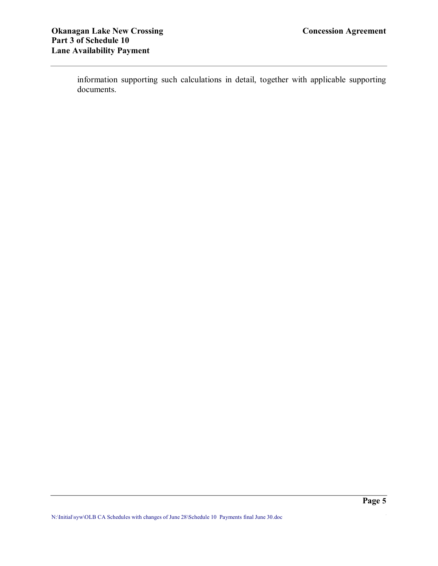information supporting such calculations in detail, together with applicable supporting documents.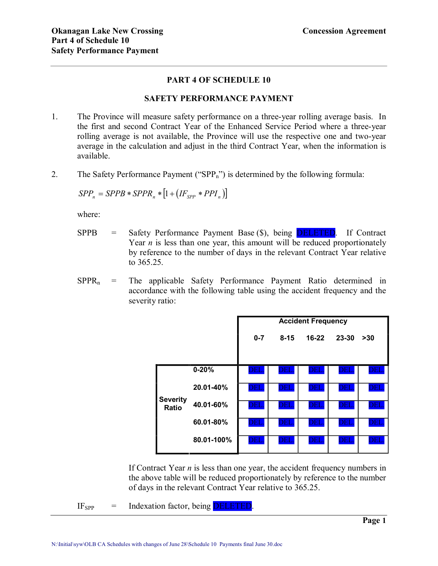## **PART 4 OF SCHEDULE 10**

### **SAFETY PERFORMANCE PAYMENT**

- 1. The Province will measure safety performance on a three-year rolling average basis. In the first and second Contract Year of the Enhanced Service Period where a three-year rolling average is not available, the Province will use the respective one and two-year average in the calculation and adjust in the third Contract Year, when the information is available.
- 2. The Safety Performance Payment ("SPP<sub>n</sub>") is determined by the following formula:

$$
SPP_n = SPPB * SPPR_n * [1 + (IF_{SPP} * PPI_n)]
$$

where:

- $SPPB$  = Safety Performance Payment Base  $(\$)$ , being **DELETED**. If Contract Year  $n$  is less than one year, this amount will be reduced proportionately by reference to the number of days in the relevant Contract Year relative to 365.25.
- $SPPR_n$  = The applicable Safety Performance Payment Ratio determined in accordance with the following table using the accident frequency and the severity ratio:

|                                 |            | <b>Accident Frequency</b> |                         |                         |                         |                       |
|---------------------------------|------------|---------------------------|-------------------------|-------------------------|-------------------------|-----------------------|
|                                 |            | $0 - 7$                   | $8 - 15$                | $16-22$                 | 23-30                   | $>30$                 |
|                                 |            |                           |                         |                         |                         |                       |
|                                 | $0 - 20%$  | <b>DEL</b>                | $\overline{\rm DEL}$    | $\overline{\rm DEL}$    | $\overline{\text{DEL}}$ | DEL                   |
|                                 | 20.01-40%  | DEL.                      | DEL.                    | $\overline{\text{DEL}}$ | $\overline{\text{DEL}}$ | DEL                   |
| <b>Severity</b><br><b>Ratio</b> | 40.01-60%  | <b>DEL</b>                | <b>DEL</b>              | <b>DEL</b>              | $\overline{\text{DEL}}$ | DEL                   |
|                                 | 60.01-80%  | <b>DEL</b>                | $\overline{\text{DEL}}$ | $\overline{\text{DEL}}$ | $\overline{\text{DEL}}$ | $\overline{\rm{DEL}}$ |
|                                 | 80.01-100% | $\overline{\text{DEL}}$   | DEL                     | DEL                     | DEL                     | <u>DEI</u>            |

If Contract Year *n* is less than one year, the accident frequency numbers in the above table will be reduced proportionately by reference to the number of days in the relevant Contract Year relative to 365.25.

 $IF_{SPP}$  = Indexation factor, being **DELETED**.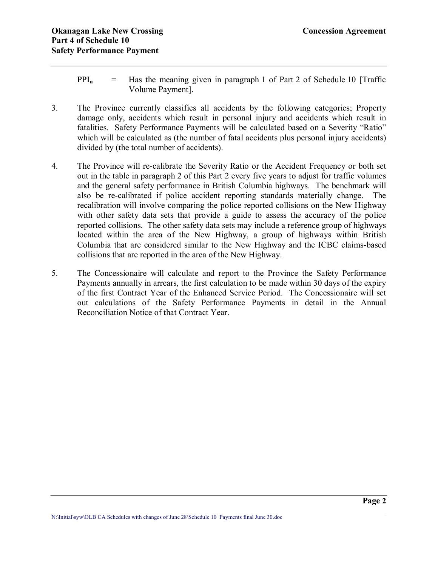- $PPI_n$  = Has the meaning given in paragraph 1 of Part 2 of Schedule 10 [Traffic Volume Payment].
- 3. The Province currently classifies all accidents by the following categories; Property damage only, accidents which result in personal injury and accidents which result in fatalities. Safety Performance Payments will be calculated based on a Severity "Ratio" which will be calculated as (the number of fatal accidents plus personal injury accidents) divided by (the total number of accidents).
- 4. The Province will recalibrate the Severity Ratio or the Accident Frequency or both set out in the table in paragraph 2 of this Part 2 every five years to adjust for traffic volumes and the general safety performance in British Columbia highways. The benchmark will also be recalibrated if police accident reporting standards materially change. The recalibration will involve comparing the police reported collisions on the New Highway with other safety data sets that provide a guide to assess the accuracy of the police reported collisions. The other safety data sets may include a reference group of highways located within the area of the New Highway, a group of highways within British Columbia that are considered similar to the New Highway and the ICBC claims-based collisions that are reported in the area of the New Highway.
- 5. The Concessionaire will calculate and report to the Province the Safety Performance Payments annually in arrears, the first calculation to be made within 30 days of the expiry of the first Contract Year of the Enhanced Service Period. The Concessionaire will set out calculations of the Safety Performance Payments in detail in the Annual Reconciliation Notice of that Contract Year.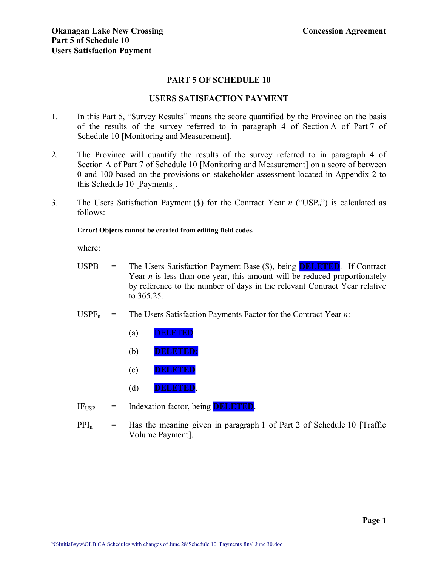## **PART 5 OF SCHEDULE 10**

## **USERS SATISFACTION PAYMENT**

- 1. In this Part 5, "Survey Results" means the score quantified by the Province on the basis of the results of the survey referred to in paragraph 4 of Section A of Part 7 of Schedule 10 [Monitoring and Measurement].
- 2. The Province will quantify the results of the survey referred to in paragraph 4 of Section A of Part 7 of Schedule 10 [Monitoring and Measurement] on a score of between 0 and 100 based on the provisions on stakeholder assessment located in Appendix 2 to this Schedule 10 [Payments].
- 3. The Users Satisfaction Payment  $(\hat{\mathbf{S}})$  for the Contract Year *n* ("USP<sub>n</sub>") is calculated as follows:

#### **Error! Objects cannot be created from editing field codes.**

where:

- USPB = The Users Satisfaction Payment Base (\$), being **DELETED**. If Contract Year  $n$  is less than one year, this amount will be reduced proportionately by reference to the number of days in the relevant Contract Year relative to 365.25.
- $USPF_n$  = The Users Satisfaction Payments Factor for the Contract Year *n*:
	- (a) DELETED
	- (b) **DELETED;**
	- (c) **DELETED**
	- (d) **DELETED**.
- $IF_{\text{USP}}$  = Indexation factor, being **DELETED**.
- $PPI_n$  = Has the meaning given in paragraph 1 of Part 2 of Schedule 10 [Traffic Volume Payment].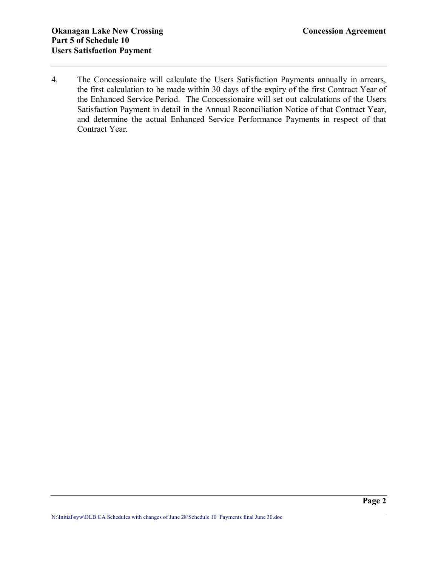4. The Concessionaire will calculate the Users Satisfaction Payments annually in arrears, the first calculation to be made within 30 days of the expiry of the first Contract Year of the Enhanced Service Period. The Concessionaire will set out calculations of the Users Satisfaction Payment in detail in the Annual Reconciliation Notice of that Contract Year, and determine the actual Enhanced Service Performance Payments in respect of that Contract Year.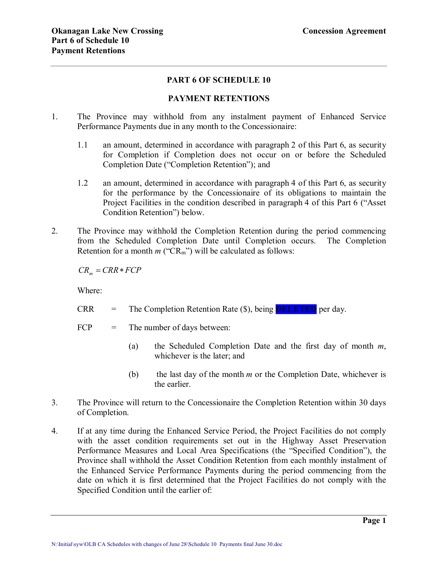## **PART 6 OF SCHEDULE 10**

### **PAYMENT RETENTIONS**

- 1. The Province may withhold from any instalment payment of Enhanced Service Performance Payments due in any month to the Concessionaire:
	- 1.1 an amount, determined in accordance with paragraph 2 of this Part 6, as security for Completion if Completion does not occur on or before the Scheduled Completion Date ("Completion Retention"); and
	- 1.2 an amount, determined in accordance with paragraph 4 of this Part 6, as security for the performance by the Concessionaire of its obligations to maintain the Project Facilities in the condition described in paragraph 4 of this Part 6 ("Asset Condition Retention") below.
- 2. The Province may withhold the Completion Retention during the period commencing from the Scheduled Completion Date until Completion occurs. The Completion Retention for a month  $m$  ("CR<sub>m</sub>") will be calculated as follows:

 $CR<sub>m</sub> = CRR* FCP$ 

Where:

- CRR = The Completion Retention Rate (\$), being **DELETED** per day.
- $FCP = The number of days between:$ 
	- (a) the Scheduled Completion Date and the first day of month *m*, whichever is the later; and
	- (b) the last day of the month *m* or the Completion Date, whichever is the earlier.
- 3. The Province will return to the Concessionaire the Completion Retention within 30 days of Completion.
- 4. If at any time during the Enhanced Service Period, the Project Facilities do not comply with the asset condition requirements set out in the Highway Asset Preservation Performance Measures and Local Area Specifications (the "Specified Condition"), the Province shall withhold the Asset Condition Retention from each monthly instalment of the Enhanced Service Performance Payments during the period commencing from the date on which it is first determined that the Project Facilities do not comply with the Specified Condition until the earlier of: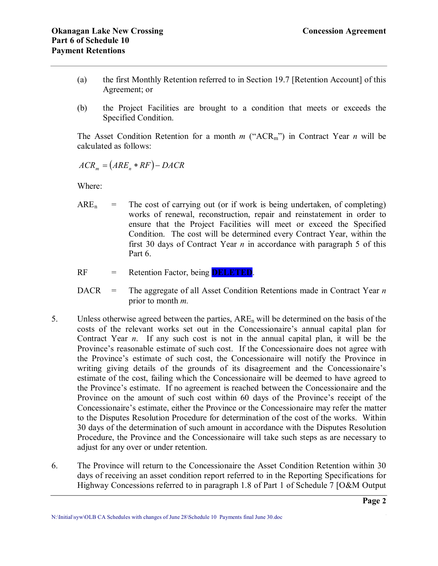- (a) the first Monthly Retention referred to in Section 19.7 [Retention Account] of this Agreement; or
- (b) the Project Facilities are brought to a condition that meets or exceeds the Specified Condition.

The Asset Condition Retention for a month  $m$  ("ACR<sub>m</sub>") in Contract Year  $n$  will be calculated as follows:

$$
ACR_m = (ARE_n * RF) - DACR
$$

Where:

 $ARE<sub>n</sub>$  = The cost of carrying out (or if work is being undertaken, of completing) works of renewal, reconstruction, repair and reinstatement in order to ensure that the Project Facilities will meet or exceed the Specified Condition. The cost will be determined every Contract Year, within the first 30 days of Contract Year *n* in accordance with paragraph 5 of this Part 6.

RF = Retention Factor, being **DELETED**.

DACR = The aggregate of all Asset Condition Retentions made in Contract Year *n* prior to month *m.*

- 5. Unless otherwise agreed between the parties,  $ARE_n$  will be determined on the basis of the costs of the relevant works set out in the Concessionaire's annual capital plan for Contract Year *n*. If any such cost is not in the annual capital plan, it will be the Province's reasonable estimate of such cost. If the Concessionaire does not agree with the Province's estimate of such cost, the Concessionaire will notify the Province in writing giving details of the grounds of its disagreement and the Concessionaire's estimate of the cost, failing which the Concessionaire will be deemed to have agreed to the Province's estimate. If no agreement is reached between the Concessionaire and the Province on the amount of such cost within 60 days of the Province's receipt of the Concessionaire's estimate, either the Province or the Concessionaire may refer the matter to the Disputes Resolution Procedure for determination of the cost of the works. Within 30 days of the determination of such amount in accordance with the Disputes Resolution Procedure, the Province and the Concessionaire will take such steps as are necessary to adjust for any over or under retention.
- 6. The Province will return to the Concessionaire the Asset Condition Retention within 30 days of receiving an asset condition report referred to in the Reporting Specifications for Highway Concessions referred to in paragraph 1.8 of Part 1 of Schedule 7 [O&M Output

**\_\_\_\_\_\_\_\_\_\_\_\_\_\_\_\_\_\_\_\_\_\_\_\_\_\_\_\_\_\_\_\_\_\_\_\_\_\_\_\_\_\_\_\_\_\_\_\_\_\_\_\_\_\_\_\_\_\_\_\_\_\_\_\_\_\_\_\_\_\_\_\_\_\_\_\_\_\_ Page 2** N:\Initial\syw\OLB CA Schedules with changes of June 28\Schedule 10 Payments final June 30.doc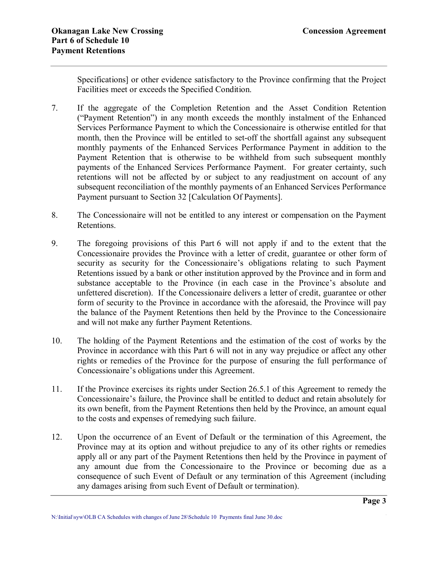Specifications] or other evidence satisfactory to the Province confirming that the Project Facilities meet or exceeds the Specified Condition.

- 7. If the aggregate of the Completion Retention and the Asset Condition Retention ("Payment Retention") in any month exceeds the monthly instalment of the Enhanced Services Performance Payment to which the Concessionaire is otherwise entitled for that month, then the Province will be entitled to set-off the shortfall against any subsequent monthly payments of the Enhanced Services Performance Payment in addition to the Payment Retention that is otherwise to be withheld from such subsequent monthly payments of the Enhanced Services Performance Payment. For greater certainty, such retentions will not be affected by or subject to any readjustment on account of any subsequent reconciliation of the monthly payments of an Enhanced Services Performance Payment pursuant to Section 32 [Calculation Of Payments].
- 8. The Concessionaire will not be entitled to any interest or compensation on the Payment Retentions.
- 9. The foregoing provisions of this Part 6 will not apply if and to the extent that the Concessionaire provides the Province with a letter of credit, guarantee or other form of security as security for the Concessionaire's obligations relating to such Payment Retentions issued by a bank or other institution approved by the Province and in form and substance acceptable to the Province (in each case in the Province's absolute and unfettered discretion). If the Concessionaire delivers a letter of credit, guarantee or other form of security to the Province in accordance with the aforesaid, the Province will pay the balance of the Payment Retentions then held by the Province to the Concessionaire and will not make any further Payment Retentions.
- 10. The holding of the Payment Retentions and the estimation of the cost of works by the Province in accordance with this Part 6 will not in any way prejudice or affect any other rights or remedies of the Province for the purpose of ensuring the full performance of Concessionaire's obligations under this Agreement.
- 11. If the Province exercises its rights under Section 26.5.1 of this Agreement to remedy the Concessionaire's failure, the Province shall be entitled to deduct and retain absolutely for its own benefit, from the Payment Retentions then held by the Province, an amount equal to the costs and expenses of remedying such failure.
- 12. Upon the occurrence of an Event of Default or the termination of this Agreement, the Province may at its option and without prejudice to any of its other rights or remedies apply all or any part of the Payment Retentions then held by the Province in payment of any amount due from the Concessionaire to the Province or becoming due as a consequence of such Event of Default or any termination of this Agreement (including any damages arising from such Event of Default or termination).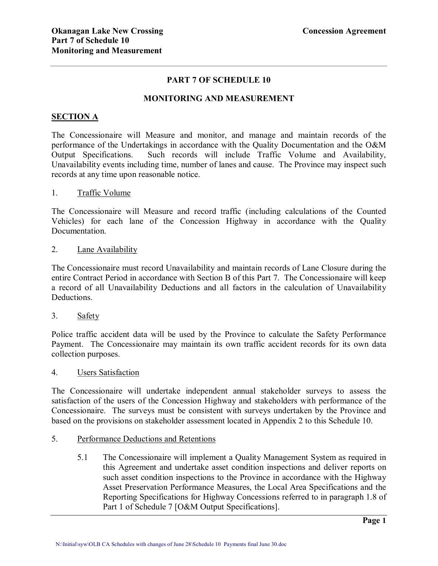## **PART 7 OF SCHEDULE 10**

### **MONITORING AND MEASUREMENT**

#### **SECTION A**

The Concessionaire will Measure and monitor, and manage and maintain records of the performance of the Undertakings in accordance with the Quality Documentation and the O&M Output Specifications. Such records will include Traffic Volume and Availability, Unavailability events including time, number of lanes and cause. The Province may inspect such records at any time upon reasonable notice.

### 1. Traffic Volume

The Concessionaire will Measure and record traffic (including calculations of the Counted Vehicles) for each lane of the Concession Highway in accordance with the Quality Documentation.

#### 2. Lane Availability

The Concessionaire must record Unavailability and maintain records of Lane Closure during the entire Contract Period in accordance with Section B of this Part 7. The Concessionaire will keep a record of all Unavailability Deductions and all factors in the calculation of Unavailability Deductions.

#### 3. Safety

Police traffic accident data will be used by the Province to calculate the Safety Performance Payment. The Concessionaire may maintain its own traffic accident records for its own data collection purposes.

#### 4. Users Satisfaction

The Concessionaire will undertake independent annual stakeholder surveys to assess the satisfaction of the users of the Concession Highway and stakeholders with performance of the Concessionaire. The surveys must be consistent with surveys undertaken by the Province and based on the provisions on stakeholder assessment located in Appendix 2 to this Schedule 10.

## 5. Performance Deductions and Retentions

5.1 The Concessionaire will implement a Quality Management System as required in this Agreement and undertake asset condition inspections and deliver reports on such asset condition inspections to the Province in accordance with the Highway Asset Preservation Performance Measures, the Local Area Specifications and the Reporting Specifications for Highway Concessions referred to in paragraph 1.8 of Part 1 of Schedule 7 [O&M Output Specifications].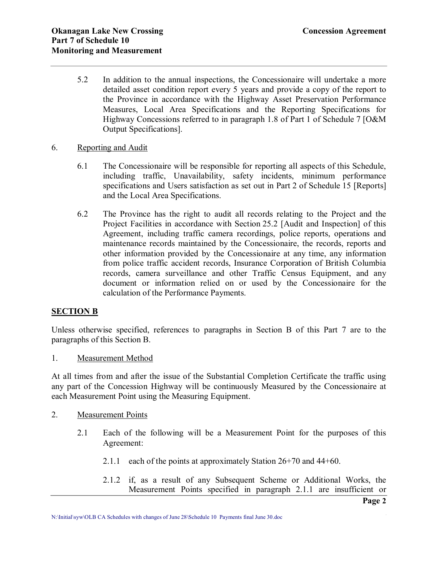- 5.2 In addition to the annual inspections, the Concessionaire will undertake a more detailed asset condition report every 5 years and provide a copy of the report to the Province in accordance with the Highway Asset Preservation Performance Measures, Local Area Specifications and the Reporting Specifications for Highway Concessions referred to in paragraph 1.8 of Part 1 of Schedule 7 [O&M Output Specifications].
- 6. Reporting and Audit
	- 6.1 The Concessionaire will be responsible for reporting all aspects of this Schedule, including traffic, Unavailability, safety incidents, minimum performance specifications and Users satisfaction as set out in Part 2 of Schedule 15 [Reports] and the Local Area Specifications.
	- 6.2 The Province has the right to audit all records relating to the Project and the Project Facilities in accordance with Section 25.2 [Audit and Inspection] of this Agreement, including traffic camera recordings, police reports, operations and maintenance records maintained by the Concessionaire, the records, reports and other information provided by the Concessionaire at any time, any information from police traffic accident records, Insurance Corporation of British Columbia records, camera surveillance and other Traffic Census Equipment, and any document or information relied on or used by the Concessionaire for the calculation of the Performance Payments.

## **SECTION B**

Unless otherwise specified, references to paragraphs in Section B of this Part 7 are to the paragraphs of this Section B.

1. Measurement Method

At all times from and after the issue of the Substantial Completion Certificate the traffic using any part of the Concession Highway will be continuously Measured by the Concessionaire at each Measurement Point using the Measuring Equipment.

- 2. Measurement Points
	- 2.1 Each of the following will be a Measurement Point for the purposes of this Agreement:
		- 2.1.1 each of the points at approximately Station 26+70 and 44+60.
		- 2.1.2 if, as a result of any Subsequent Scheme or Additional Works, the Measurement Points specified in paragraph 2.1.1 are insufficient or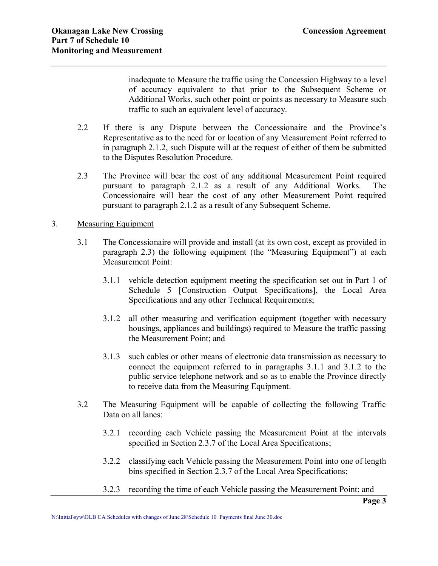inadequate to Measure the traffic using the Concession Highway to a level of accuracy equivalent to that prior to the Subsequent Scheme or Additional Works, such other point or points as necessary to Measure such traffic to such an equivalent level of accuracy.

- 2.2 If there is any Dispute between the Concessionaire and the Province's Representative as to the need for or location of any Measurement Point referred to in paragraph 2.1.2, such Dispute will at the request of either of them be submitted to the Disputes Resolution Procedure.
- 2.3 The Province will bear the cost of any additional Measurement Point required pursuant to paragraph 2.1.2 as a result of any Additional Works. The Concessionaire will bear the cost of any other Measurement Point required pursuant to paragraph 2.1.2 as a result of any Subsequent Scheme.

## 3. Measuring Equipment

- 3.1 The Concessionaire will provide and install (at its own cost, except as provided in paragraph 2.3) the following equipment (the "Measuring Equipment") at each Measurement Point:
	- 3.1.1 vehicle detection equipment meeting the specification set out in Part 1 of Schedule 5 [Construction Output Specifications], the Local Area Specifications and any other Technical Requirements;
	- 3.1.2 all other measuring and verification equipment (together with necessary housings, appliances and buildings) required to Measure the traffic passing the Measurement Point; and
	- 3.1.3 such cables or other means of electronic data transmission as necessary to connect the equipment referred to in paragraphs 3.1.1 and 3.1.2 to the public service telephone network and so as to enable the Province directly to receive data from the Measuring Equipment.
- 3.2 The Measuring Equipment will be capable of collecting the following Traffic Data on all lanes:
	- 3.2.1 recording each Vehicle passing the Measurement Point at the intervals specified in Section 2.3.7 of the Local Area Specifications;
	- 3.2.2 classifying each Vehicle passing the Measurement Point into one of length bins specified in Section 2.3.7 of the Local Area Specifications;
	- 3.2.3 recording the time of each Vehicle passing the Measurement Point; and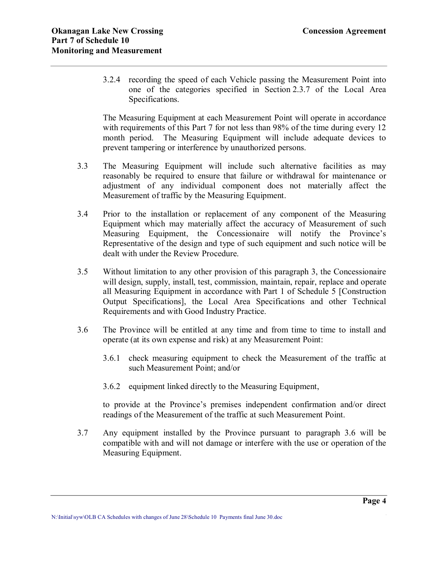3.2.4 recording the speed of each Vehicle passing the Measurement Point into one of the categories specified in Section 2.3.7 of the Local Area Specifications.

The Measuring Equipment at each Measurement Point will operate in accordance with requirements of this Part 7 for not less than 98% of the time during every 12 month period. The Measuring Equipment will include adequate devices to prevent tampering or interference by unauthorized persons.

- 3.3 The Measuring Equipment will include such alternative facilities as may reasonably be required to ensure that failure or withdrawal for maintenance or adjustment of any individual component does not materially affect the Measurement of traffic by the Measuring Equipment.
- 3.4 Prior to the installation or replacement of any component of the Measuring Equipment which may materially affect the accuracy of Measurement of such Measuring Equipment, the Concessionaire will notify the Province's Representative of the design and type of such equipment and such notice will be dealt with under the Review Procedure.
- 3.5 Without limitation to any other provision of this paragraph 3, the Concessionaire will design, supply, install, test, commission, maintain, repair, replace and operate all Measuring Equipment in accordance with Part 1 of Schedule 5 [Construction Output Specifications], the Local Area Specifications and other Technical Requirements and with Good Industry Practice.
- 3.6 The Province will be entitled at any time and from time to time to install and operate (at its own expense and risk) at any Measurement Point:
	- 3.6.1 check measuring equipment to check the Measurement of the traffic at such Measurement Point; and/or
	- 3.6.2 equipment linked directly to the Measuring Equipment,

to provide at the Province's premises independent confirmation and/or direct readings of the Measurement of the traffic at such Measurement Point.

3.7 Any equipment installed by the Province pursuant to paragraph 3.6 will be compatible with and will not damage or interfere with the use or operation of the Measuring Equipment.

**\_\_\_\_\_\_\_\_\_\_\_\_\_\_\_\_\_\_\_\_\_\_\_\_\_\_\_\_\_\_\_\_\_\_\_\_\_\_\_\_\_\_\_\_\_\_\_\_\_\_\_\_\_\_\_\_\_\_\_\_\_\_\_\_\_\_\_\_\_\_\_\_\_\_\_\_\_\_ Page 4** N:\Initial\syw\OLB CA Schedules with changes of June 28\Schedule 10 Payments final June 30.doc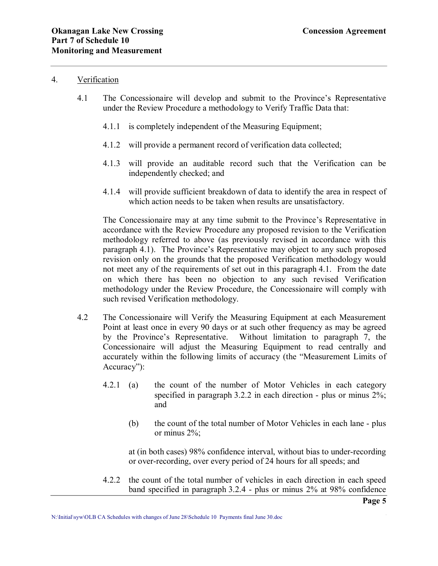### 4. Verification

- 4.1 The Concessionaire will develop and submit to the Province's Representative under the Review Procedure a methodology to Verify Traffic Data that:
	- 4.1.1 is completely independent of the Measuring Equipment:
	- 4.1.2 will provide a permanent record of verification data collected;
	- 4.1.3 will provide an auditable record such that the Verification can be independently checked; and
	- 4.1.4 will provide sufficient breakdown of data to identify the area in respect of which action needs to be taken when results are unsatisfactory.

The Concessionaire may at any time submit to the Province's Representative in accordance with the Review Procedure any proposed revision to the Verification methodology referred to above (as previously revised in accordance with this paragraph 4.1). The Province's Representative may object to any such proposed revision only on the grounds that the proposed Verification methodology would not meet any of the requirements of set out in this paragraph 4.1. From the date on which there has been no objection to any such revised Verification methodology under the Review Procedure, the Concessionaire will comply with such revised Verification methodology.

- 4.2 The Concessionaire will Verify the Measuring Equipment at each Measurement Point at least once in every 90 days or at such other frequency as may be agreed by the Province's Representative. Without limitation to paragraph 7, the Concessionaire will adjust the Measuring Equipment to read centrally and accurately within the following limits of accuracy (the "Measurement Limits of Accuracy"):
	- 4.2.1 (a) the count of the number of Motor Vehicles in each category specified in paragraph  $3.2.2$  in each direction - plus or minus  $2\%$ ; and
		- (b) the count of the total number of Motor Vehicles in each lane plus or minus 2%;

at (in both cases) 98% confidence interval, without bias to under-recording or over-recording, over every period of 24 hours for all speeds; and

4.2.2 the count of the total number of vehicles in each direction in each speed band specified in paragraph 3.2.4 - plus or minus 2% at 98% confidence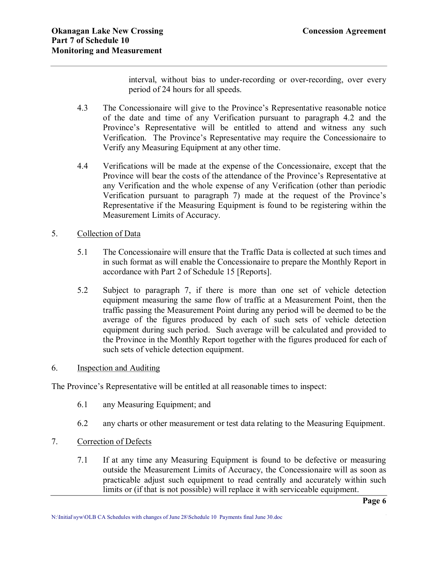interval, without bias to under-recording or over-recording, over every period of 24 hours for all speeds.

- 4.3 The Concessionaire will give to the Province's Representative reasonable notice of the date and time of any Verification pursuant to paragraph 4.2 and the Province's Representative will be entitled to attend and witness any such Verification. The Province's Representative may require the Concessionaire to Verify any Measuring Equipment at any other time.
- 4.4 Verifications will be made at the expense of the Concessionaire, except that the Province will bear the costs of the attendance of the Province's Representative at any Verification and the whole expense of any Verification (other than periodic Verification pursuant to paragraph 7) made at the request of the Province's Representative if the Measuring Equipment is found to be registering within the Measurement Limits of Accuracy.

## 5. Collection of Data

- 5.1 The Concessionaire will ensure that the Traffic Data is collected at such times and in such format as will enable the Concessionaire to prepare the Monthly Report in accordance with Part 2 of Schedule 15 [Reports].
- 5.2 Subject to paragraph 7, if there is more than one set of vehicle detection equipment measuring the same flow of traffic at a Measurement Point, then the traffic passing the Measurement Point during any period will be deemed to be the average of the figures produced by each of such sets of vehicle detection equipment during such period. Such average will be calculated and provided to the Province in the Monthly Report together with the figures produced for each of such sets of vehicle detection equipment.

## 6. Inspection and Auditing

The Province's Representative will be entitled at all reasonable times to inspect:

- 6.1 any Measuring Equipment; and
- 6.2 any charts or other measurement or test data relating to the Measuring Equipment.
- 7. Correction of Defects
	- 7.1 If at any time any Measuring Equipment is found to be defective or measuring outside the Measurement Limits of Accuracy, the Concessionaire will as soon as practicable adjust such equipment to read centrally and accurately within such limits or (if that is not possible) will replace it with serviceable equipment.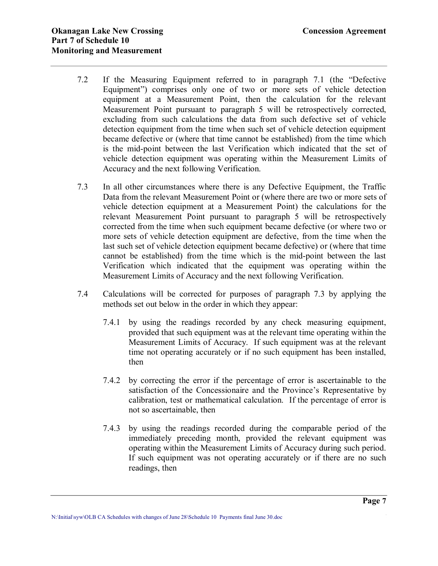- 7.2 If the Measuring Equipment referred to in paragraph 7.1 (the "Defective Equipment") comprises only one of two or more sets of vehicle detection equipment at a Measurement Point, then the calculation for the relevant Measurement Point pursuant to paragraph 5 will be retrospectively corrected, excluding from such calculations the data from such defective set of vehicle detection equipment from the time when such set of vehicle detection equipment became defective or (where that time cannot be established) from the time which is the mid-point between the last Verification which indicated that the set of vehicle detection equipment was operating within the Measurement Limits of Accuracy and the next following Verification.
- 7.3 In all other circumstances where there is any Defective Equipment, the Traffic Data from the relevant Measurement Point or (where there are two or more sets of vehicle detection equipment at a Measurement Point) the calculations for the relevant Measurement Point pursuant to paragraph 5 will be retrospectively corrected from the time when such equipment became defective (or where two or more sets of vehicle detection equipment are defective, from the time when the last such set of vehicle detection equipment became defective) or (where that time cannot be established) from the time which is the mid-point between the last Verification which indicated that the equipment was operating within the Measurement Limits of Accuracy and the next following Verification.
- 7.4 Calculations will be corrected for purposes of paragraph 7.3 by applying the methods set out below in the order in which they appear:
	- 7.4.1 by using the readings recorded by any check measuring equipment, provided that such equipment was at the relevant time operating within the Measurement Limits of Accuracy. If such equipment was at the relevant time not operating accurately or if no such equipment has been installed, then
	- 7.4.2 by correcting the error if the percentage of error is ascertainable to the satisfaction of the Concessionaire and the Province's Representative by calibration, test or mathematical calculation. If the percentage of error is not so ascertainable, then
	- 7.4.3 by using the readings recorded during the comparable period of the immediately preceding month, provided the relevant equipment was operating within the Measurement Limits of Accuracy during such period. If such equipment was not operating accurately or if there are no such readings, then

**\_\_\_\_\_\_\_\_\_\_\_\_\_\_\_\_\_\_\_\_\_\_\_\_\_\_\_\_\_\_\_\_\_\_\_\_\_\_\_\_\_\_\_\_\_\_\_\_\_\_\_\_\_\_\_\_\_\_\_\_\_\_\_\_\_\_\_\_\_\_\_\_\_\_\_\_\_\_ Page 7** N:\Initial\syw\OLB CA Schedules with changes of June 28\Schedule 10 Payments final June 30.doc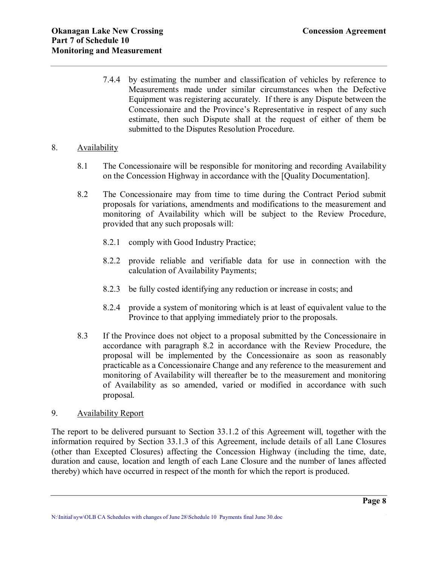7.4.4 by estimating the number and classification of vehicles by reference to Measurements made under similar circumstances when the Defective Equipment was registering accurately. If there is any Dispute between the Concessionaire and the Province's Representative in respect of any such estimate, then such Dispute shall at the request of either of them be submitted to the Disputes Resolution Procedure.

### 8. Availability

- 8.1 The Concessionaire will be responsible for monitoring and recording Availability on the Concession Highway in accordance with the [Quality Documentation].
- 8.2 The Concessionaire may from time to time during the Contract Period submit proposals for variations, amendments and modifications to the measurement and monitoring of Availability which will be subject to the Review Procedure, provided that any such proposals will:
	- 8.2.1 comply with Good Industry Practice;
	- 8.2.2 provide reliable and verifiable data for use in connection with the calculation of Availability Payments;
	- 8.2.3 be fully costed identifying any reduction or increase in costs; and
	- 8.2.4 provide a system of monitoring which is at least of equivalent value to the Province to that applying immediately prior to the proposals.
- 8.3 If the Province does not object to a proposal submitted by the Concessionaire in accordance with paragraph 8.2 in accordance with the Review Procedure, the proposal will be implemented by the Concessionaire as soon as reasonably practicable as a Concessionaire Change and any reference to the measurement and monitoring of Availability will thereafter be to the measurement and monitoring of Availability as so amended, varied or modified in accordance with such proposal.

## 9. Availability Report

The report to be delivered pursuant to Section 33.1.2 of this Agreement will, together with the information required by Section 33.1.3 of this Agreement, include details of all Lane Closures (other than Excepted Closures) affecting the Concession Highway (including the time, date, duration and cause, location and length of each Lane Closure and the number of lanes affected thereby) which have occurred in respect of the month for which the report is produced.

**\_\_\_\_\_\_\_\_\_\_\_\_\_\_\_\_\_\_\_\_\_\_\_\_\_\_\_\_\_\_\_\_\_\_\_\_\_\_\_\_\_\_\_\_\_\_\_\_\_\_\_\_\_\_\_\_\_\_\_\_\_\_\_\_\_\_\_\_\_\_\_\_\_\_\_\_\_\_ Page 8** N:\Initial\syw\OLB CA Schedules with changes of June 28\Schedule 10 Payments final June 30.doc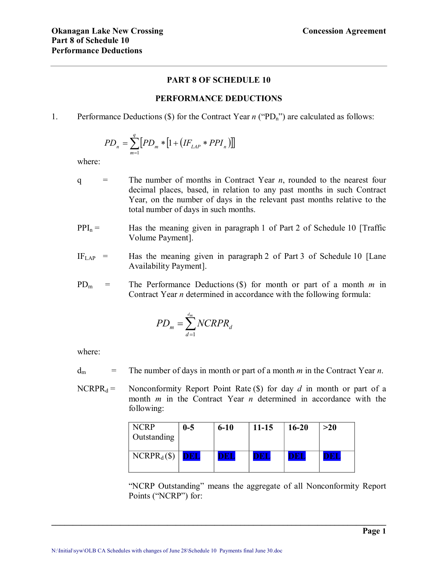## **PART 8 OF SCHEDULE 10**

#### **PERFORMANCE DEDUCTIONS**

#### 1. Performance Deductions ( $\hat{s}$ ) for the Contract Year *n* (" $PD_n$ ") are calculated as follows:

$$
PD_n = \sum_{m=1}^{q} [PD_m * [1 + (IF_{LAP} * PPI_n)]]
$$

where:

- $q =$  The number of months in Contract Year *n*, rounded to the nearest four decimal places, based, in relation to any past months in such Contract Year, on the number of days in the relevant past months relative to the total number of days in such months.
- $PPI_n =$  Has the meaning given in paragraph 1 of Part 2 of Schedule 10 [Traffic Volume Payment].
- $IF<sub>LAP</sub>$  = Has the meaning given in paragraph 2 of Part 3 of Schedule 10 [Lane Availability Payment].
- PD<sup>m</sup> = The Performance Deductions (\$) for month or part of a month *m* in Contract Year *n* determined in accordance with the following formula:

$$
PD_m = \sum_{d=1}^{d_m} NCRPR_d
$$

where:

 $d_m$  = The number of days in month or part of a month *m* in the Contract Year *n*.

NCRPR $_d$  = Nonconformity Report Point Rate (\$) for day *d* in month or part of a month *m* in the Contract Year *n* determined in accordance with the following:

| <b>NCRP</b><br>Outstanding | $0-5$ | $6 - 10$ | $11 - 15$ | $16 - 20$ | >20 |
|----------------------------|-------|----------|-----------|-----------|-----|
| $NCRPR_d$ (\$)             | DEL   | DBI      |           |           |     |

**\_\_\_\_\_\_\_\_\_\_\_\_\_\_\_\_\_\_\_\_\_\_\_\_\_\_\_\_\_\_\_\_\_\_\_\_\_\_\_\_\_\_\_\_\_\_\_\_\_\_\_\_\_\_\_\_\_\_\_\_\_\_\_\_\_\_\_\_\_\_\_\_\_\_\_\_\_\_** 

"NCRP Outstanding" means the aggregate of all Nonconformity Report Points ("NCRP") for: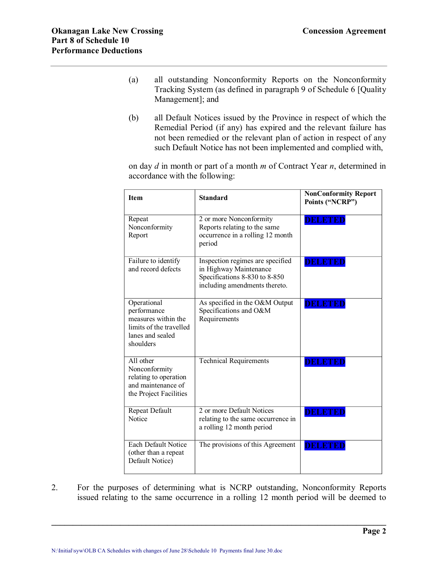- (a) all outstanding Nonconformity Reports on the Nonconformity Tracking System (as defined in paragraph 9 of Schedule 6 [Quality Management]; and
- (b) all Default Notices issued by the Province in respect of which the Remedial Period (if any) has expired and the relevant failure has not been remedied or the relevant plan of action in respect of any such Default Notice has not been implemented and complied with,

on day *d* in month or part of a month *m* of Contract Year *n*, determined in accordance with the following:

| <b>Item</b>                                                                                                   | <b>Standard</b>                                                                                                              | <b>NonConformity Report</b><br>Points ("NCRP") |
|---------------------------------------------------------------------------------------------------------------|------------------------------------------------------------------------------------------------------------------------------|------------------------------------------------|
| Repeat<br>Nonconformity<br>Report                                                                             | 2 or more Nonconformity<br>Reports relating to the same<br>occurrence in a rolling 12 month<br>period                        | <b>DELETED</b>                                 |
| Failure to identify<br>and record defects                                                                     | Inspection regimes are specified<br>in Highway Maintenance<br>Specifications 8-830 to 8-850<br>including amendments thereto. | <b>DELETED</b>                                 |
| Operational<br>performance<br>measures within the<br>limits of the travelled<br>lanes and sealed<br>shoulders | As specified in the O&M Output<br>Specifications and O&M<br>Requirements                                                     | <b>DELETED</b>                                 |
| All other<br>Nonconformity<br>relating to operation<br>and maintenance of<br>the Project Facilities           | <b>Technical Requirements</b>                                                                                                | <b>DELETED</b>                                 |
| Repeat Default<br>Notice                                                                                      | 2 or more Default Notices<br>relating to the same occurrence in<br>a rolling 12 month period                                 | <b>DELETED</b>                                 |
| <b>Each Default Notice</b><br>(other than a repeat<br>Default Notice)                                         | The provisions of this Agreement                                                                                             | <b>DELETED</b>                                 |

2. For the purposes of determining what is NCRP outstanding, Nonconformity Reports issued relating to the same occurrence in a rolling 12 month period will be deemed to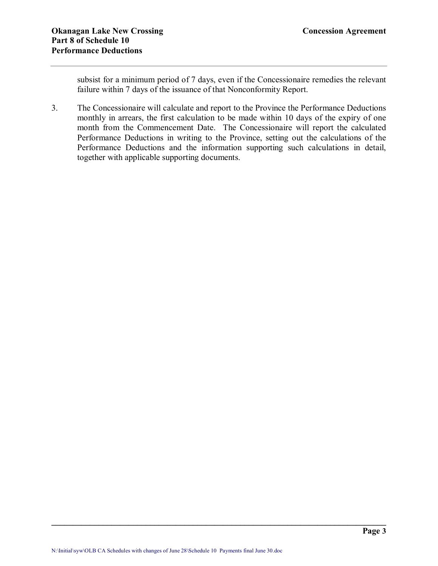subsist for a minimum period of 7 days, even if the Concessionaire remedies the relevant failure within 7 days of the issuance of that Nonconformity Report.

3. The Concessionaire will calculate and report to the Province the Performance Deductions monthly in arrears, the first calculation to be made within 10 days of the expiry of one month from the Commencement Date. The Concessionaire will report the calculated Performance Deductions in writing to the Province, setting out the calculations of the Performance Deductions and the information supporting such calculations in detail, together with applicable supporting documents.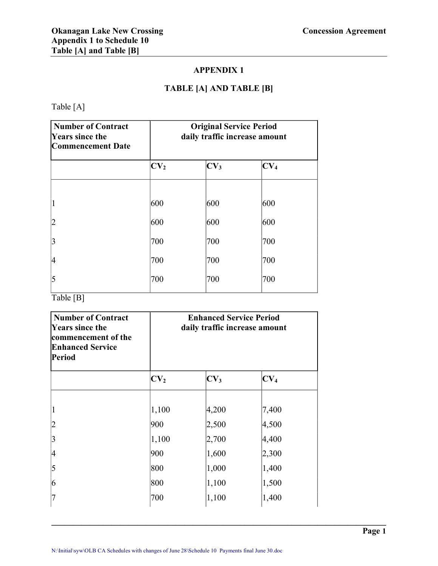## **APPENDIX 1**

# **TABLE [A] AND TABLE [B]**

Table [A]

| <b>Number of Contract</b><br><b>Years since the</b><br><b>Commencement Date</b> | <b>Original Service Period</b><br>daily traffic increase amount |                 |                 |
|---------------------------------------------------------------------------------|-----------------------------------------------------------------|-----------------|-----------------|
|                                                                                 | CV <sub>2</sub>                                                 | CV <sub>3</sub> | CV <sub>4</sub> |
| $\overline{1}$                                                                  | 600                                                             | 600             | 600             |
| $\overline{2}$                                                                  | 600                                                             | 600             | 600             |
| $\overline{3}$                                                                  | 700                                                             | 700             | 700             |
| 4                                                                               | 700                                                             | 700             | 700             |
| 5                                                                               | 700                                                             | 700             | 700             |

Table [B]

| <b>Number of Contract</b><br><b>Years since the</b><br>commencement of the<br><b>Enhanced Service</b><br><b>Period</b> | <b>Enhanced Service Period</b><br>daily traffic increase amount |                 |                 |  |
|------------------------------------------------------------------------------------------------------------------------|-----------------------------------------------------------------|-----------------|-----------------|--|
|                                                                                                                        | CV <sub>2</sub>                                                 | CV <sub>3</sub> | CV <sub>4</sub> |  |
|                                                                                                                        | 1,100                                                           | 4,200           | 7,400           |  |
| 2                                                                                                                      | 900                                                             | 2,500           | 4,500           |  |
| 3                                                                                                                      | 1,100                                                           | 2,700           | 4,400           |  |
| 4                                                                                                                      | 900                                                             | 1,600           | 2,300           |  |
| 5                                                                                                                      | 800                                                             | 1,000           | 1,400           |  |
| 6                                                                                                                      | 800                                                             | 1,100           | 1,500           |  |
| 7                                                                                                                      | 700                                                             | 1,100           | 1,400           |  |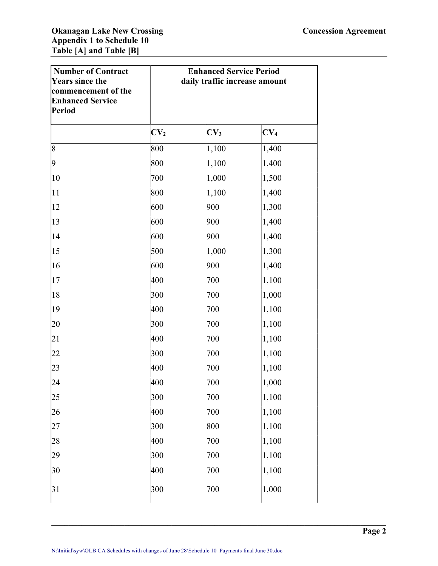| <b>Number of Contract</b><br><b>Years since the</b><br>commencement of the<br><b>Enhanced Service</b><br><b>Period</b> | <b>Enhanced Service Period</b><br>daily traffic increase amount |                 |                 |
|------------------------------------------------------------------------------------------------------------------------|-----------------------------------------------------------------|-----------------|-----------------|
|                                                                                                                        | CV <sub>2</sub>                                                 | CV <sub>3</sub> | CV <sub>4</sub> |
| 8                                                                                                                      | 800                                                             | 1,100           | 1,400           |
| 9                                                                                                                      | 800                                                             | 1,100           | 1,400           |
| 10                                                                                                                     | 700                                                             | 1,000           | 1,500           |
| 11                                                                                                                     | 800                                                             | 1,100           | 1,400           |
| 12                                                                                                                     | 600                                                             | 900             | 1,300           |
| 13                                                                                                                     | 600                                                             | 900             | 1,400           |
| 14                                                                                                                     | 600                                                             | 900             | 1,400           |
| 15                                                                                                                     | 500                                                             | 1,000           | 1,300           |
| 16                                                                                                                     | 600                                                             | 900             | 1,400           |
| 17                                                                                                                     | 400                                                             | 700             | 1,100           |
| 18                                                                                                                     | 300                                                             | 700             | 1,000           |
| 19                                                                                                                     | 400                                                             | 700             | 1,100           |
| 20                                                                                                                     | 300                                                             | 700             | 1,100           |
| 21                                                                                                                     | 400                                                             | 700             | 1,100           |
| 22                                                                                                                     | 300                                                             | 700             | 1,100           |
| 23                                                                                                                     | 400                                                             | 700             | 1,100           |
| 24                                                                                                                     | 400                                                             | 700             | 1,000           |
| 25                                                                                                                     | 300                                                             | 700             | 1,100           |
| 26                                                                                                                     | 400                                                             | 700             | 1,100           |
| 27                                                                                                                     | 300                                                             | 800             | 1,100           |
| 28                                                                                                                     | 400                                                             | 700             | 1,100           |
| 29                                                                                                                     | 300                                                             | 700             | 1,100           |
| 30                                                                                                                     | 400                                                             | 700             | 1,100           |
| 31                                                                                                                     | 300                                                             | 700             | 1,000           |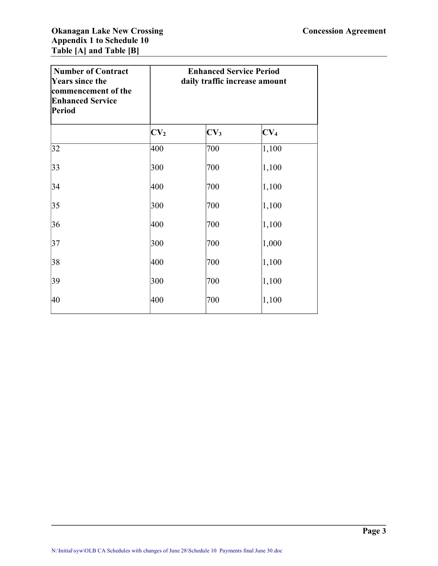| <b>Number of Contract</b><br><b>Years since the</b><br>commencement of the<br><b>Enhanced Service</b><br><b>Period</b> |                 | <b>Enhanced Service Period</b><br>daily traffic increase amount |                 |  |
|------------------------------------------------------------------------------------------------------------------------|-----------------|-----------------------------------------------------------------|-----------------|--|
|                                                                                                                        | CV <sub>2</sub> | CV <sub>3</sub>                                                 | CV <sub>4</sub> |  |
| 32                                                                                                                     | 400             | 700                                                             | 1,100           |  |
| 33                                                                                                                     | 300             | 700                                                             | 1,100           |  |
| 34                                                                                                                     | 400             | 700                                                             | 1,100           |  |
| 35                                                                                                                     | 300             | 700                                                             | 1,100           |  |
| 36                                                                                                                     | 400             | 700                                                             | 1,100           |  |
| 37                                                                                                                     | 300             | 700                                                             | 1,000           |  |
| 38                                                                                                                     | 400             | 700                                                             | 1,100           |  |
| 39                                                                                                                     | 300             | 700                                                             | 1,100           |  |
| 40                                                                                                                     | 400             | 700                                                             | 1,100           |  |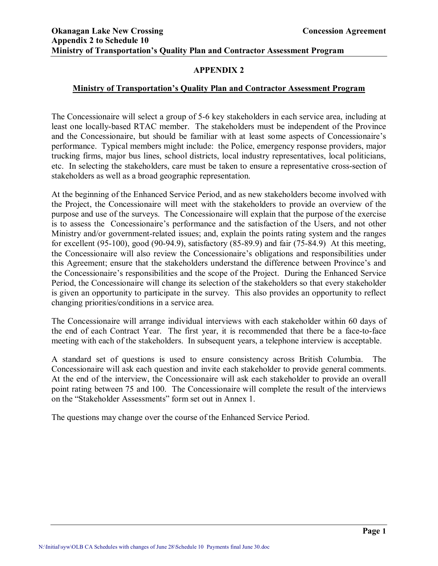## **APPENDIX 2**

### **Ministry of Transportation's Quality Plan and Contractor Assessment Program**

The Concessionaire will select a group of 5-6 key stakeholders in each service area, including at least one locally-based RTAC member. The stakeholders must be independent of the Province and the Concessionaire, but should be familiar with at least some aspects of Concessionaire's performance. Typical members might include: the Police, emergency response providers, major trucking firms, major bus lines, school districts, local industry representatives, local politicians, etc. In selecting the stakeholders, care must be taken to ensure a representative crosssection of stakeholders as well as a broad geographic representation.

At the beginning of the Enhanced Service Period, and as new stakeholders become involved with the Project, the Concessionaire will meet with the stakeholders to provide an overview of the purpose and use of the surveys. The Concessionaire will explain that the purpose of the exercise is to assess the Concessionaire's performance and the satisfaction of the Users, and not other Ministry and/or government-related issues; and, explain the points rating system and the ranges for excellent  $(95-100)$ , good  $(90-94.9)$ , satisfactory  $(85-89.9)$  and fair  $(75-84.9)$  At this meeting, the Concessionaire will also review the Concessionaire's obligations and responsibilities under this Agreement; ensure that the stakeholders understand the difference between Province's and the Concessionaire's responsibilities and the scope of the Project. During the Enhanced Service Period, the Concessionaire will change its selection of the stakeholders so that every stakeholder is given an opportunity to participate in the survey. This also provides an opportunity to reflect changing priorities/conditions in a service area.

The Concessionaire will arrange individual interviews with each stakeholder within 60 days of the end of each Contract Year. The first year, it is recommended that there be a face-to-face meeting with each of the stakeholders. In subsequent years, a telephone interview is acceptable.

A standard set of questions is used to ensure consistency across British Columbia. The Concessionaire will ask each question and invite each stakeholder to provide general comments. At the end of the interview, the Concessionaire will ask each stakeholder to provide an overall point rating between 75 and 100. The Concessionaire will complete the result of the interviews on the "Stakeholder Assessments" form set out in Annex 1.

The questions may change over the course of the Enhanced Service Period.